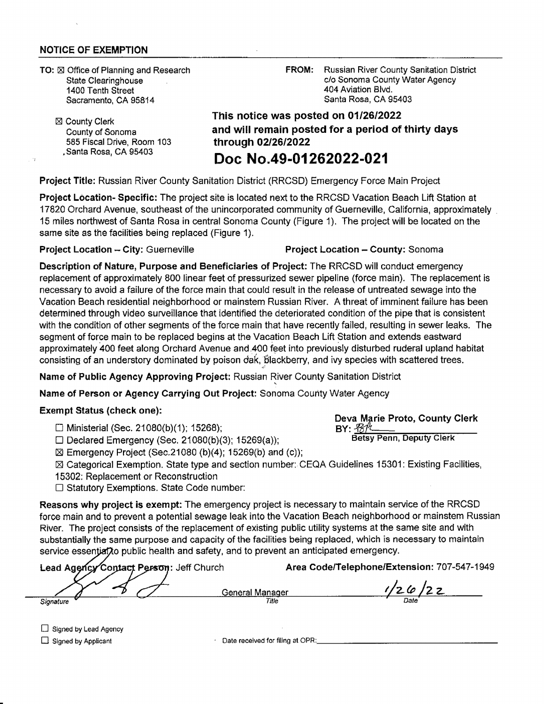#### **NOTICE OF EXEMPTION**

- **TO:** X Office of Planning and Research State Clearinghouse 1400 Tenth Street Sacramento, CA 95814
	- **⊠ County Clerk** County of Sonoma 585 Fiscal Drive, Room 103 .Santa Rosa, CA 95403

**FROM:** Russian River County Sanitation District c/o Sonoma County Water Agency 404 Aviation Blvd. Santa Rosa, CA 95403

# **This notice was posted on 01/26/2022 and will remain posted for a period of thirty days through 02/26/2022**

## **Doc No.49-01262022-021**

**Project Title:** Russian River County Sanitation District (RRCSD) Emergency Force Main Project

**Project Location- Specific:** The project site is located next to the RRCSD Vacation Beach Lift Station at 17820 Orchard Avenue, southeast of the unincorporated community of Guerneville, California, approximately 15 miles northwest of Santa Rosa in central Sonoma County (Figure 1). The project will be located on the same site as the facilities being replaced (Figure 1).

**Project Location** - **City:** Guerneville **Project Location** - **County:** Sonoma

**Description of Nature, Purpose and Beneficiaries of Project:** The RRCSD will conduct emergency replacement of approximately 800 linear feet of pressurized sewer pipeline (force main). The replacement is necessary to avoid a failure of the force main that could result in the release of untreated sewage into the Vacation Beach residential neighborhood or mainstem Russian River. A threat of imminent failure has been determined through video surveillance that identified the deteriorated condition of the pipe that is consistent with the condition of other segments of the force main that have recently failed, resulting in sewer leaks. The segment of force main to be replaced begins at the Vacation Beach Lift Station and extends eastward approximately 400 feet along Orchard Avenue and 400 feet into previously disturbed ruderal upland habitat consisting of an understory dominated by poison dak, blackberry, and ivy species with scattered trees.

Name of Public Agency Approving Project: Russian River County Sanitation District

**Name of Person or Agency Carrying Out Project:** Sonoma County Water Agency

#### **Exempt Status (check one):**

□ Ministerial (Sec. 21080(b)(1); 15268);

 $\square$  Declared Emergency (Sec. 21080(b)(3); 15269(a));

 $\boxtimes$  Emergency Project (Sec.21080 (b)(4); 15269(b) and (c));

 $\boxtimes$  Categorical Exemption. State type and section number: CEQA Guidelines 15301: Existing Facilities, 15302: Replacement or Reconstruction

□ Statutory Exemptions. State Code number:

**Reasons why project is exempt:** The emergency project is necessary to maintain service of the RRCSD force main and to prevent a potential sewage leak into the Vacation Beach neighborhood or mainstem Russian River. The project consists of the replacement of existing public utility systems at the same site and with **substantially the same purpose and capacity of the facilities being replaced, which is necessary to maintain**  service essential to public health and safety, and to prevent an anticipated emergency.

|           | Lead Agency Contact Person: Jeff Church |                 | Area Code/Telephone/Extension: 707-547-1949 |
|-----------|-----------------------------------------|-----------------|---------------------------------------------|
|           |                                         |                 |                                             |
|           |                                         | General Manager |                                             |
| Signature |                                         | Title           | Date                                        |

D Signed by Lead Agency

Signed by Applicant

Date received for filing at OPR:

### **Deva Marie Proto, County Clerk BY:**  $\mathcal{B}/\mathcal{K}$

**Betsy Penn, Deputy Clerk**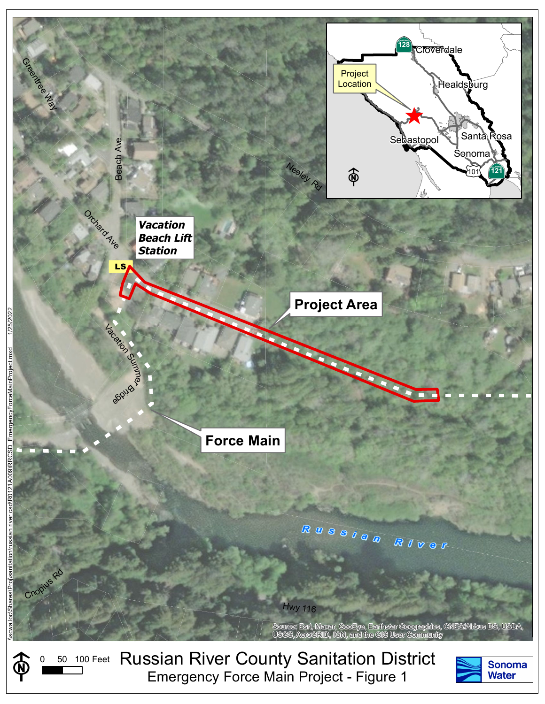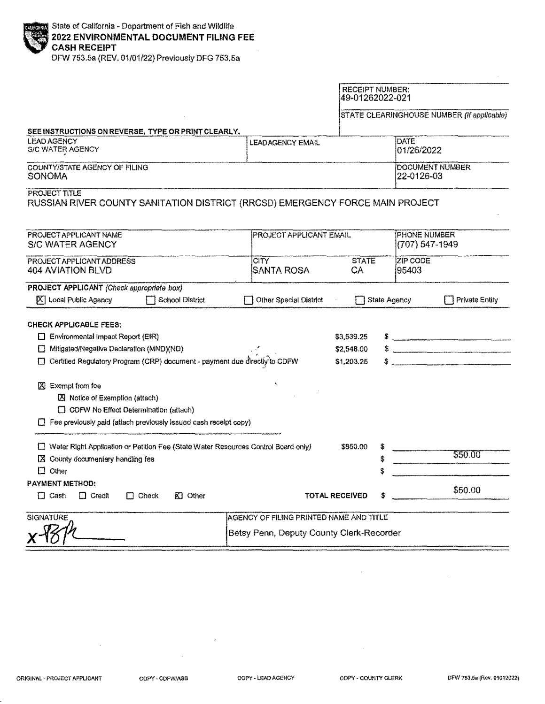DFW 753.5a {REV. 01/01/22} Previously DFG 753.5a

|                                                                                                                                                                                                         |                                               | <b>RECEIPT NUMBER:</b><br>49-01262022-021   |                                |                                            |
|---------------------------------------------------------------------------------------------------------------------------------------------------------------------------------------------------------|-----------------------------------------------|---------------------------------------------|--------------------------------|--------------------------------------------|
|                                                                                                                                                                                                         |                                               |                                             |                                | STATE CLEARINGHOUSE NUMBER (If applicable) |
| SEE INSTRUCTIONS ON REVERSE, TYPE OR PRINT CLEARLY.                                                                                                                                                     |                                               |                                             |                                |                                            |
| <b>LEAD AGENCY</b><br>S/C WATER AGENCY                                                                                                                                                                  | DATE<br><b>LEADAGENCY EMAIL</b><br>01/26/2022 |                                             |                                |                                            |
| COUNTY/STATE AGENCY OF FILING<br>SONOMA                                                                                                                                                                 |                                               | DOCUMENT NUMBER<br>22-0126-03               |                                |                                            |
| PROJECT TITLE<br>RUSSIAN RIVER COUNTY SANITATION DISTRICT (RRCSD) EMERGENCY FORCE MAIN PROJECT                                                                                                          |                                               |                                             |                                |                                            |
| PROJECT APPLICANT NAME<br><b>S/C WATER AGENCY</b>                                                                                                                                                       | PROJECT APPLICANT EMAIL                       |                                             | PHONE NUMBER<br>(707) 547-1949 |                                            |
| PROJECT APPLICANT ADDRESS<br>404 AVIATION BLVD                                                                                                                                                          | <b>CITY</b><br><b>SANTA ROSA</b>              | <b>STATE</b><br>CA                          | <b>ZIP CODE</b><br>95403       |                                            |
| PROJECT APPLICANT (Check appropriate box)<br>$ X $ Local Public Agency<br>School District                                                                                                               | Other Special District                        | State Agency                                |                                | <b>Private Entity</b>                      |
| <b>CHECK APPLICABLE FEES:</b><br>$\Box$ Environmental Impact Report (EIR)<br>□ Mitigated/Negative Declaration (MND)(ND)<br>□ Certified Regulatory Program (CRP) document - payment due directly to CDFW |                                               | \$3,539.25<br>\$2,548.00<br>\$1,203.25<br>S |                                |                                            |
| X Exempt from fee<br>X Notice of Exemption (attach)<br>□ CDFW No Effect Determination (attach)<br>$\Box$ Fee previously paid (attach previously issued cash receipt copy)                               |                                               |                                             |                                |                                            |
| □ Water Right Application or Petition Fee (State Water Resources Control Board only)<br>County documentary handling fee<br>ΙX<br>$\Box$ Other                                                           |                                               | \$850.00<br>\$<br>Ś.                        |                                | \$50.00                                    |
| <b>PAYMENT METHOD:</b><br>$K1$ Other<br>$\Box$ Cash<br>$\Box$ Credit<br>$\Box$ Check                                                                                                                    |                                               | <b>TOTAL RECEIVED</b>                       |                                | \$50.00                                    |
| <b>SIGNATURE</b>                                                                                                                                                                                        | AGENCY OF FILING PRINTED NAME AND TITLE       |                                             |                                |                                            |
|                                                                                                                                                                                                         | Betsy Penn, Deputy County Clerk-Recorder      |                                             |                                |                                            |

t,

 $\overline{a}$ 

÷.